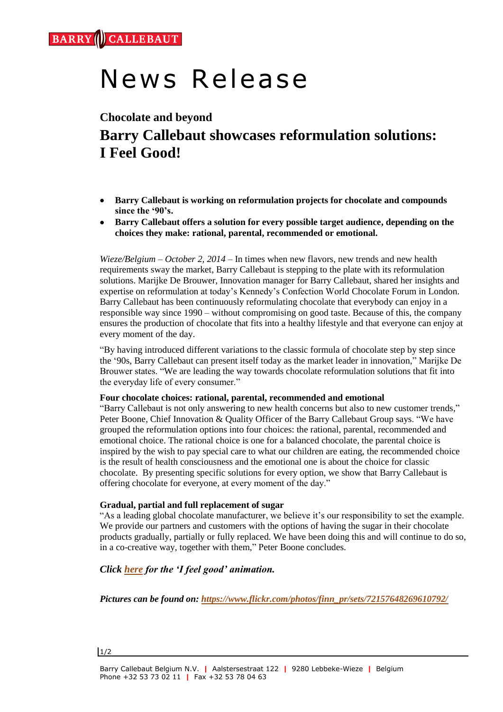# News Release

## **Chocolate and beyond Barry Callebaut showcases reformulation solutions: I Feel Good!**

- **Barry Callebaut is working on reformulation projects for chocolate and compounds since the '90's.**
- **Barry Callebaut offers a solution for every possible target audience, depending on the choices they make: rational, parental, recommended or emotional.**

*Wieze/Belgium – October 2, 2014* – In times when new flavors, new trends and new health requirements sway the market, Barry Callebaut is stepping to the plate with its reformulation solutions. Marijke De Brouwer, Innovation manager for Barry Callebaut, shared her insights and expertise on reformulation at today's [Kennedy's Confection World Chocolate Forum](http://kennedysevents.com/) in London. Barry Callebaut has been continuously reformulating chocolate that everybody can enjoy in a responsible way since 1990 – without compromising on good taste. Because of this, the company ensures the production of chocolate that fits into a healthy lifestyle and that everyone can enjoy at every moment of the day.

"By having introduced different variations to the classic formula of chocolate step by step since the '90s, Barry Callebaut can present itself today as the market leader in innovation," Marijke De Brouwer states. "We are leading the way towards chocolate reformulation solutions that fit into the everyday life of every consumer."

#### **Four chocolate choices: rational, parental, recommended and emotional**

"Barry Callebaut is not only answering to new health concerns but also to new customer trends," Peter Boone, Chief Innovation & Quality Officer of the Barry Callebaut Group says. "We have grouped the reformulation options into four choices: the rational, parental, recommended and emotional choice. The rational choice is one for a balanced chocolate, the parental choice is inspired by the wish to pay special care to what our children are eating, the recommended choice is the result of health consciousness and the emotional one is about the choice for classic chocolate. By presenting specific solutions for every option, we show that Barry Callebaut is offering chocolate for everyone, at every moment of the day."

#### **Gradual, partial and full replacement of sugar**

"As a leading global chocolate manufacturer, we believe it's our responsibility to set the example. We provide our partners and customers with the options of having the sugar in their chocolate products gradually, partially or fully replaced. We have been doing this and will continue to do so, in a co-creative way, together with them," Peter Boone concludes.

### *Click [here](http://vimeo.com/107709807) for the 'I feel good' animation.*

*Pictures can be found on: [https://www.flickr.com/photos/finn\\_pr/sets/72157648269610792/](https://www.flickr.com/photos/finn_pr/sets/72157648269610792/)*

#### 1/2